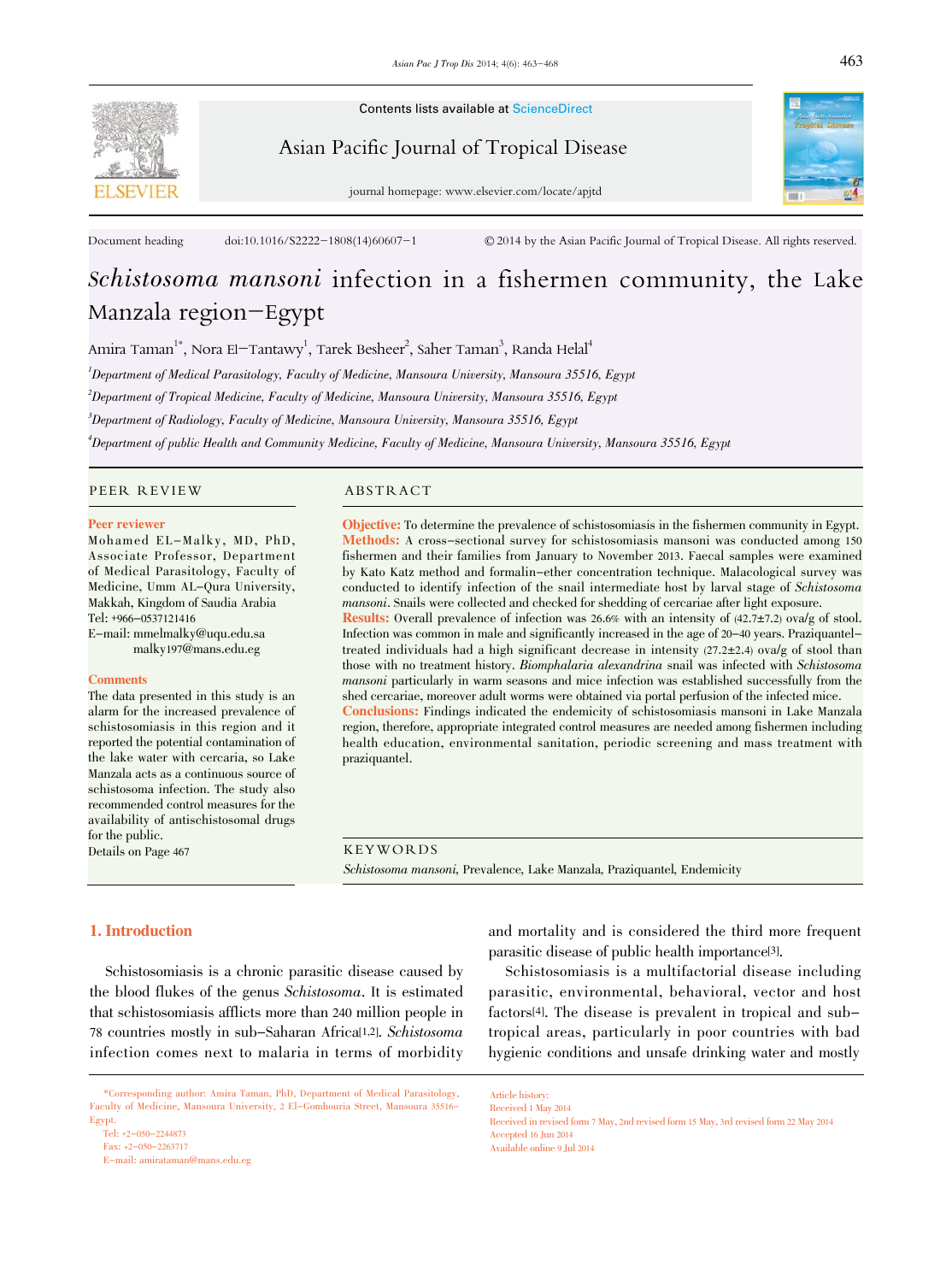

Contents lists available at ScienceDirect

Asian Pacific Journal of Tropical Disease



journal homepage: www.elsevier.com/locate/apjtd

Document heading doi:10.1016/S2222-1808(14)60607-1 © 2014 by the Asian Pacific Journal of Tropical Disease. All rights reserved.

# Schistosoma mansoni infection in a fishermen community, the Lake Manzala region-Egypt

Amira Taman $^{1*}$ , Nora El $-$ Tantawy $^{1}$ , Tarek Besheer $^{2}$ , Saher Taman $^{3}$ , Randa Helal $^{4}$ 

 $^{\prime}$ Department of Medical Parasitology, Faculty of Medicine, Mansoura University, Mansoura 35516, Egypt

 $^2$ Department of Tropical Medicine, Faculty of Medicine, Mansoura University, Mansoura 35516, Egypt

 $^3$ Department of Radiology, Faculty of Medicine, Mansoura University, Mansoura 35516, Egypt

4 Department of public Health and Community Medicine, Faculty of Medicine, Mansoura University, Mansoura 35516, Egypt

## PEER REVIEW ABSTRACT

#### Peer reviewer

Mohamed EL-Malky, MD, PhD, Associate Professor, Department of Medical Parasitology, Faculty of Medicine, Umm AL-Qura University, Makkah, Kingdom of Saudia Arabia Tel: +966-0537121416 E-mail: mmelmalky@uqu.edu.sa

malky197@mans.edu.eg

# **Comments**

The data presented in this study is an alarm for the increased prevalence of schistosomiasis in this region and it reported the potential contamination of the lake water with cercaria, so Lake Manzala acts as a continuous source of schistosoma infection. The study also recommended control measures for the availability of antischistosomal drugs for the public. Details on Page 467

Objective: To determine the prevalence of schistosomiasis in the fishermen community in Egypt. Methods: A cross-sectional survey for schistosomiasis mansoni was conducted among <sup>150</sup> fishermen and their families from January to November 2013. Faecal samples were examined by Kato Katz method and formalin-ether concentration technique. Malacological survey was conducted to identify infection of the snail intermediate host by larval stage of Schistosoma mansoni. Snails were collected and checked for shedding of cercariae after light exposure. **Results:** Overall prevalence of infection was 26.6% with an intensity of  $(42.7 \pm 7.2)$  ova/g of stool. Infection was common in male and significantly increased in the age of 20-40 years. Praziquanteltreated individuals had a high significant decrease in intensity  $(27.2 \pm 2.4)$  ova/g of stool than those with no treatment history. Biomphalaria alexandrina snail was infected with Schistosoma mansoni particularly in warm seasons and mice infection was established successfully from the shed cercariae, moreover adult worms were obtained via portal perfusion of the infected mice.

Conclusions: Findings indicated the endemicity of schistosomiasis mansoni in Lake Manzala region, therefore, appropriate integrated control measures are needed among fishermen including health education, environmental sanitation, periodic screening and mass treatment with praziquantel.

KEYWORDS Schistosoma mansoni, Prevalence, Lake Manzala, Praziquantel, Endemicity

# 1. Introduction

Schistosomiasis is a chronic parasitic disease caused by the blood flukes of the genus Schistosoma. It is estimated that schistosomiasis afflicts more than 240 million people in <sup>78</sup> countries mostly in sub-Saharan Africa[1,2]. Schistosoma infection comes next to malaria in terms of morbidity

\*Corresponding author: Amira Taman, PhD, Department of Medical Parasitology, Faculty of Medicine, Mansoura University, 2 El-Gomhouria Street, Mansoura 35516- Egypt.

Tel: +2-050-2244873 Fax: +2-050-2263717 E-mail: amirataman@mans.edu.eg and mortality and is considered the third more frequent parasitic disease of public health importance[3].

Schistosomiasis is a multifactorial disease including parasitic, environmental, behavioral, vector and host factors[4]. The disease is prevalent in tropical and subtropical areas, particularly in poor countries with bad hygienic conditions and unsafe drinking water and mostly

Article history: Received 1 May 2014

Received in revised form 7 May, 2nd revised form 15 May, 3rd revised form 22 May 2014 Accepted 16 Jun 2014 Available online 9 Jul 2014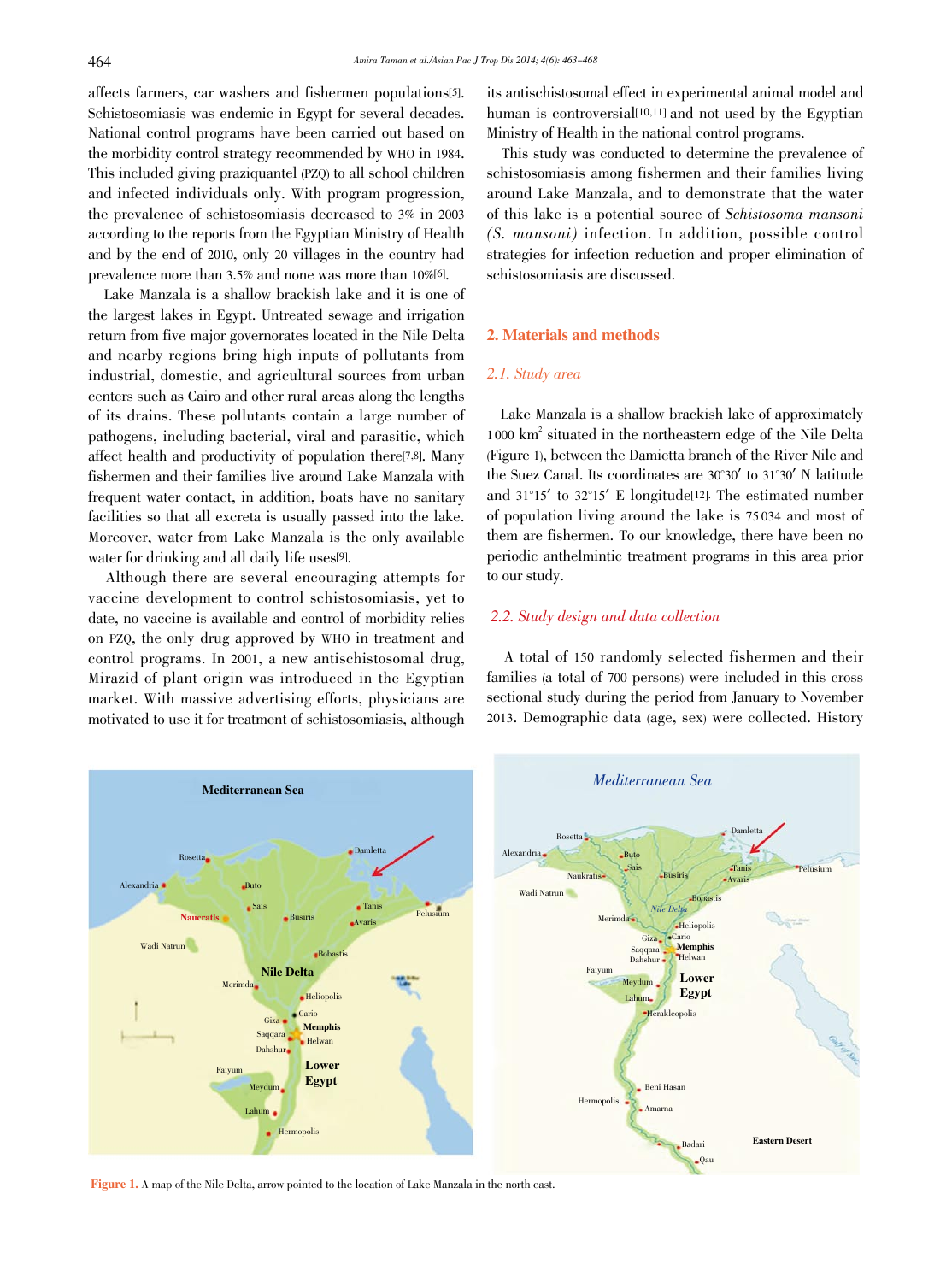affects farmers, car washers and fishermen populations[5]. Schistosomiasis was endemic in Egypt for several decades. National control programs have been carried out based on the morbidity control strategy recommended by WHO in 1984. This included giving praziquantel (PZQ) to all school children and infected individuals only. With program progression, the prevalence of schistosomiasis decreased to 3% in 2003 according to the reports from the Egyptian Ministry of Health and by the end of 2010, only 20 villages in the country had prevalence more than 3.5% and none was more than 10%[6].

Lake Manzala is a shallow brackish lake and it is one of the largest lakes in Egypt. Untreated sewage and irrigation return from five major governorates located in the Nile Delta and nearby regions bring high inputs of pollutants from industrial, domestic, and agricultural sources from urban centers such as Cairo and other rural areas along the lengths of its drains. These pollutants contain a large number of pathogens, including bacterial, viral and parasitic, which affect health and productivity of population there[7,8]. Many fishermen and their families live around Lake Manzala with frequent water contact, in addition, boats have no sanitary facilities so that all excreta is usually passed into the lake. Moreover, water from Lake Manzala is the only available water for drinking and all daily life uses[9].

Although there are several encouraging attempts for vaccine development to control schistosomiasis, yet to date, no vaccine is available and control of morbidity relies on PZQ, the only drug approved by WHO in treatment and control programs. In 2001, a new antischistosomal drug, Mirazid of plant origin was introduced in the Egyptian market. With massive advertising efforts, physicians are motivated to use it for treatment of schistosomiasis, although

its antischistosomal effect in experimental animal model and human is controversial<sup>[10,11]</sup> and not used by the Egyptian Ministry of Health in the national control programs.

This study was conducted to determine the prevalence of schistosomiasis among fishermen and their families living around Lake Manzala, and to demonstrate that the water of this lake is a potential source of Schistosoma mansoni (S. mansoni) infection. In addition, possible control strategies for infection reduction and proper elimination of schistosomiasis are discussed.

# 2. Materials and methods

### 2.1. Study area

Lake Manzala is a shallow brackish lake of approximately <sup>1</sup> <sup>000</sup> km2 situated in the northeastern edge of the Nile Delta (Figure 1), between the Damietta branch of the River Nile and the Suez Canal. Its coordinates are <sup>30</sup>°30' to <sup>31</sup>°30' N latitude and <sup>31</sup>°15' to <sup>32</sup>°15' E longitude[12]. The estimated number of population living around the lake is 75 034 and most of them are fishermen. To our knowledge, there have been no periodic anthelmintic treatment programs in this area prior to our study.

# 2.2. Study design and data collection

A total of 150 randomly selected fishermen and their families (a total of 700 persons) were included in this cross sectional study during the period from January to November 2013. Demographic data (age, sex) were collected. History



Figure 1. A map of the Nile Delta, arrow pointed to the location of Lake Manzala in the north east.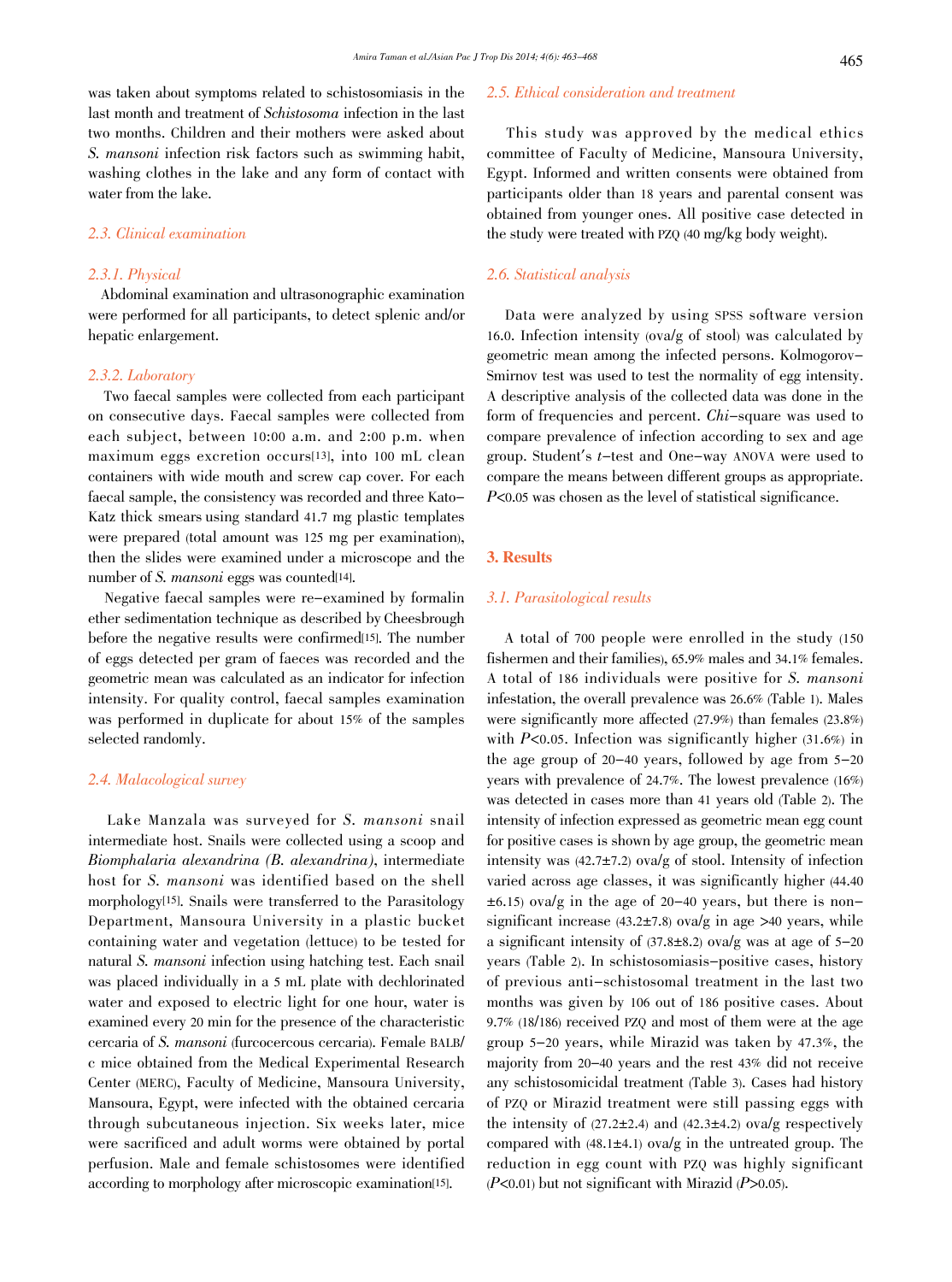was taken about symptoms related to schistosomiasis in the last month and treatment of Schistosoma infection in the last two months. Children and their mothers were asked about S. mansoni infection risk factors such as swimming habit, washing clothes in the lake and any form of contact with water from the lake.

# 2.3. Clinical examination

# 2.3.1. Physical

Abdominal examination and ultrasonographic examination were performed for all participants, to detect splenic and/or hepatic enlargement.

# 2.3.2. Laboratory

Two faecal samples were collected from each participant on consecutive days. Faecal samples were collected from each subject, between 10:00 a.m. and 2:00 p.m. when maximum eggs excretion occurs[13], into 100 mL clean containers with wide mouth and screw cap cover. For each faecal sample, the consistency was recorded and three Kato-Katz thick smears using standard 41.7 mg plastic templates were prepared (total amount was 125 mg per examination), then the slides were examined under a microscope and the number of *S. mansoni* eggs was counted<sup>[14]</sup>.

Negative faecal samples were re-examined by formalin ether sedimentation technique as described by Cheesbrough before the negative results were confirmed[15]. The number of eggs detected per gram of faeces was recorded and the geometric mean was calculated as an indicator for infection intensity. For quality control, faecal samples examination was performed in duplicate for about 15% of the samples selected randomly.

# 2.4. Malacological survey

Lake Manzala was surveyed for S. mansoni snail intermediate host. Snails were collected using a scoop and Biomphalaria alexandrina (B. alexandrina), intermediate host for S. mansoni was identified based on the shell morphology<sup>[15]</sup>. Snails were transferred to the Parasitology Department, Mansoura University in a plastic bucket containing water and vegetation (lettuce) to be tested for natural S. mansoni infection using hatching test. Each snail was placed individually in a 5 mL plate with dechlorinated water and exposed to electric light for one hour, water is examined every 20 min for the presence of the characteristic cercaria of S. mansoni (furcocercous cercaria). Female BALB/ c mice obtained from the Medical Experimental Research Center (MERC), Faculty of Medicine, Mansoura University, Mansoura, Egypt, were infected with the obtained cercaria through subcutaneous injection. Six weeks later, mice were sacrificed and adult worms were obtained by portal perfusion. Male and female schistosomes were identified according to morphology after microscopic examination[15].

# 2.5. Ethical consideration and treatment

This study was approved by the medical ethics committee of Faculty of Medicine, Mansoura University, Egypt. Informed and written consents were obtained from participants older than 18 years and parental consent was obtained from younger ones. All positive case detected in the study were treated with PZQ (40 mg/kg body weight).

# 2.6. Statistical analysis

Data were analyzed by using SPSS software version 16.0. Infection intensity (ova/g of stool) was calculated by geometric mean among the infected persons. Kolmogorov-Smirnov test was used to test the normality of egg intensity. A descriptive analysis of the collected data was done in the form of frequencies and percent. Chi-square was used to compare prevalence of infection according to sex and age group. Student's t-test and One-way ANOVA were used to compare the means between different groups as appropriate. P<0.05 was chosen as the level of statistical significance.

# 3. Results

# 3.1. Parasitological results

A total of 700 people were enrolled in the study (150 fishermen and their families), 65.9% males and 34.1% females. A total of <sup>186</sup> individuals were positive for S. mansoni infestation, the overall prevalence was 26.6% (Table 1). Males were significantly more affected (27.9%) than females (23.8%) with  $P<0.05$ . Infection was significantly higher (31.6%) in the age group of 20-40 years, followed by age from 5-20 years with prevalence of 24.7%. The lowest prevalence (16%) was detected in cases more than 41 years old (Table 2). The intensity of infection expressed as geometric mean egg count for positive cases is shown by age group, the geometric mean intensity was  $(42.7 \pm 7.2)$  ova/g of stool. Intensity of infection varied across age classes, it was significantly higher (44.40  $\pm$ 6.15) ova/g in the age of 20–40 years, but there is nonsignificant increase  $(43.2 \pm 7.8)$  ova/g in age >40 years, while a significant intensity of  $(37.8 \pm 8.2)$  ova/g was at age of 5-20 years (Table 2). In schistosomiasis-positive cases, history of previous anti-schistosomal treatment in the last two months was given by 106 out of 186 positive cases. About 9.7% (18/186) received PZQ and most of them were at the age group 5-20 years, while Mirazid was taken by 47.3%, the majority from 20-40 years and the rest 43% did not receive any schistosomicidal treatment (Table 3). Cases had history of PZQ or Mirazid treatment were still passing eggs with the intensity of  $(27.2 \pm 2.4)$  and  $(42.3 \pm 4.2)$  ova/g respectively compared with  $(48.1 \pm 4.1)$  ova/g in the untreated group. The reduction in egg count with PZQ was highly significant  $(P<0.01)$  but not significant with Mirazid  $(P>0.05)$ .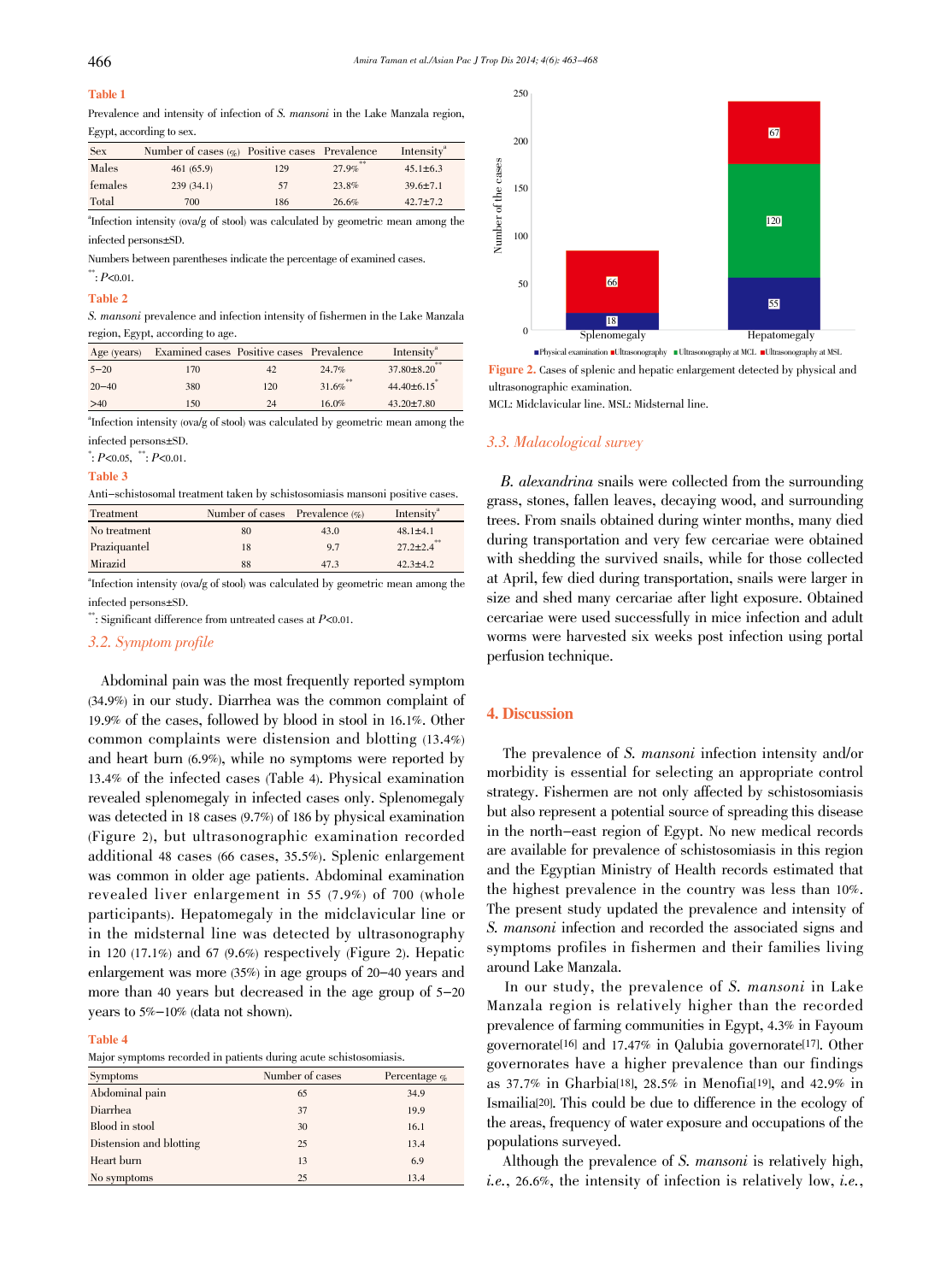# Table 1

Prevalence and intensity of infection of S. mansoni in the Lake Manzala region, Egypt, according to sex.

| <b>Sex</b> | Number of cases $(\varphi)$ Positive cases Prevalence |     |             | Intensity <sup>"</sup> |
|------------|-------------------------------------------------------|-----|-------------|------------------------|
| Males      | 461 (65.9)                                            | 129 | $27.9\%$ ** | $45.1 \pm 6.3$         |
| females    | 239(34.1)                                             | 57  | 23.8%       | $39.6 \pm 7.1$         |
| Total      | 700                                                   | 186 | 26.6%       | $42.7 \pm 7.2$         |

a Infection intensity (ova/g of stool) was calculated by geometric mean among the infected persons±SD.

Numbers between parentheses indicate the percentage of examined cases.

 $\ddot{P}$  < 0.01.

#### Table 2

S. mansoni prevalence and infection intensity of fishermen in the Lake Manzala region, Egypt, according to age.

| Age (years) | Examined cases Positive cases Prevalence |     |             | Intensity <sup>"</sup> |
|-------------|------------------------------------------|-----|-------------|------------------------|
| $5 - 20$    | 170                                      | 42  | 24.7%       | $37.80 \pm 8.20$ **    |
| $20 - 40$   | 380                                      | 120 | $31.6\%$ ** | $44.40\pm6.15$         |
| >40         | 150                                      | 24  | 16.0%       | $43.20 \pm 7.80$       |

a Infection intensity (ova/g of stool) was calculated by geometric mean among the infected persons±SD.

 $\stackrel{*}{\cdot}: P<0.05, \stackrel{**}{\cdot}: P<0.01.$ 

#### Table 3

Anti-schistosomal treatment taken by schistosomiasis mansoni positive cases.

| Treatment    | Number of cases Prevalence $(\% )$ |      | Intensity <sup>a</sup> |
|--------------|------------------------------------|------|------------------------|
| No treatment | 80                                 | 43.0 | $48.1 \pm 4.1$         |
| Praziquantel | 18                                 | 9.7  | **<br>$27.2 \pm 2.4$   |
| Mirazid      | 88                                 | 47.3 | $42.3 + 4.2$           |

a Infection intensity (ova/g of stool) was calculated by geometric mean among the infected persons±SD.

 $*$ : Significant difference from untreated cases at  $P<0.01$ .

3.2. Symptom profile

Abdominal pain was the most frequently reported symptom (34.9%) in our study. Diarrhea was the common complaint of 19.9% of the cases, followed by blood in stool in 16.1%. Other common complaints were distension and blotting (13.4%) and heart burn (6.9%), while no symptoms were reported by 13.4% of the infected cases (Table 4). Physical examination revealed splenomegaly in infected cases only. Splenomegaly was detected in 18 cases (9.7%) of 186 by physical examination (Figure 2), but ultrasonographic examination recorded additional 48 cases (66 cases, 35.5%). Splenic enlargement was common in older age patients. Abdominal examination revealed liver enlargement in 55 (7.9%) of 700 (whole participants). Hepatomegaly in the midclavicular line or in the midsternal line was detected by ultrasonography in 120 (17.1%) and 67 (9.6%) respectively (Figure 2). Hepatic enlargement was more (35%) in age groups of 20-40 years and more than 40 years but decreased in the age group of 5-20 years to 5%-10% (data not shown).

#### Table 4

Major symptoms recorded in patients during acute schistosomiasis.

| <b>Symptoms</b>         | Number of cases | Percentage $\%$ |
|-------------------------|-----------------|-----------------|
| Abdominal pain          | 65              | 34.9            |
| Diarrhea                | 37              | 19.9            |
| Blood in stool          | 30              | 16.1            |
| Distension and blotting | 25              | 13.4            |
| Heart burn              | 13              | 6.9             |
| No symptoms             | 25              | 13.4            |



Figure 2. Cases of splenic and hepatic enlargement detected by physical and ultrasonographic examination.

MCL: Midclavicular line. MSL: Midsternal line.

# 3.3. Malacological survey

B. alexandrina snails were collected from the surrounding grass, stones, fallen leaves, decaying wood, and surrounding trees. From snails obtained during winter months, many died during transportation and very few cercariae were obtained with shedding the survived snails, while for those collected at April, few died during transportation, snails were larger in size and shed many cercariae after light exposure. Obtained cercariae were used successfully in mice infection and adult worms were harvested six weeks post infection using portal perfusion technique.

# 4. Discussion

The prevalence of S. mansoni infection intensity and/or morbidity is essential for selecting an appropriate control strategy. Fishermen are not only affected by schistosomiasis but also represent a potential source of spreading this disease in the north-east region of Egypt. No new medical records are available for prevalence of schistosomiasis in this region and the Egyptian Ministry of Health records estimated that the highest prevalence in the country was less than 10%. The present study updated the prevalence and intensity of S. mansoni infection and recorded the associated signs and symptoms profiles in fishermen and their families living around Lake Manzala.

In our study, the prevalence of S. mansoni in Lake Manzala region is relatively higher than the recorded prevalence of farming communities in Egypt, 4.3% in Fayoum governorate[16] and 17.47% in Qalubia governorate[17]. Other governorates have a higher prevalence than our findings as 37.7% in Gharbia[18], 28.5% in Menofia[19], and 42.9% in Ismailia[20]. This could be due to difference in the ecology of the areas, frequency of water exposure and occupations of the populations surveyed.

Although the prevalence of S. mansoni is relatively high, i.e., 26.6%, the intensity of infection is relatively low, i.e.,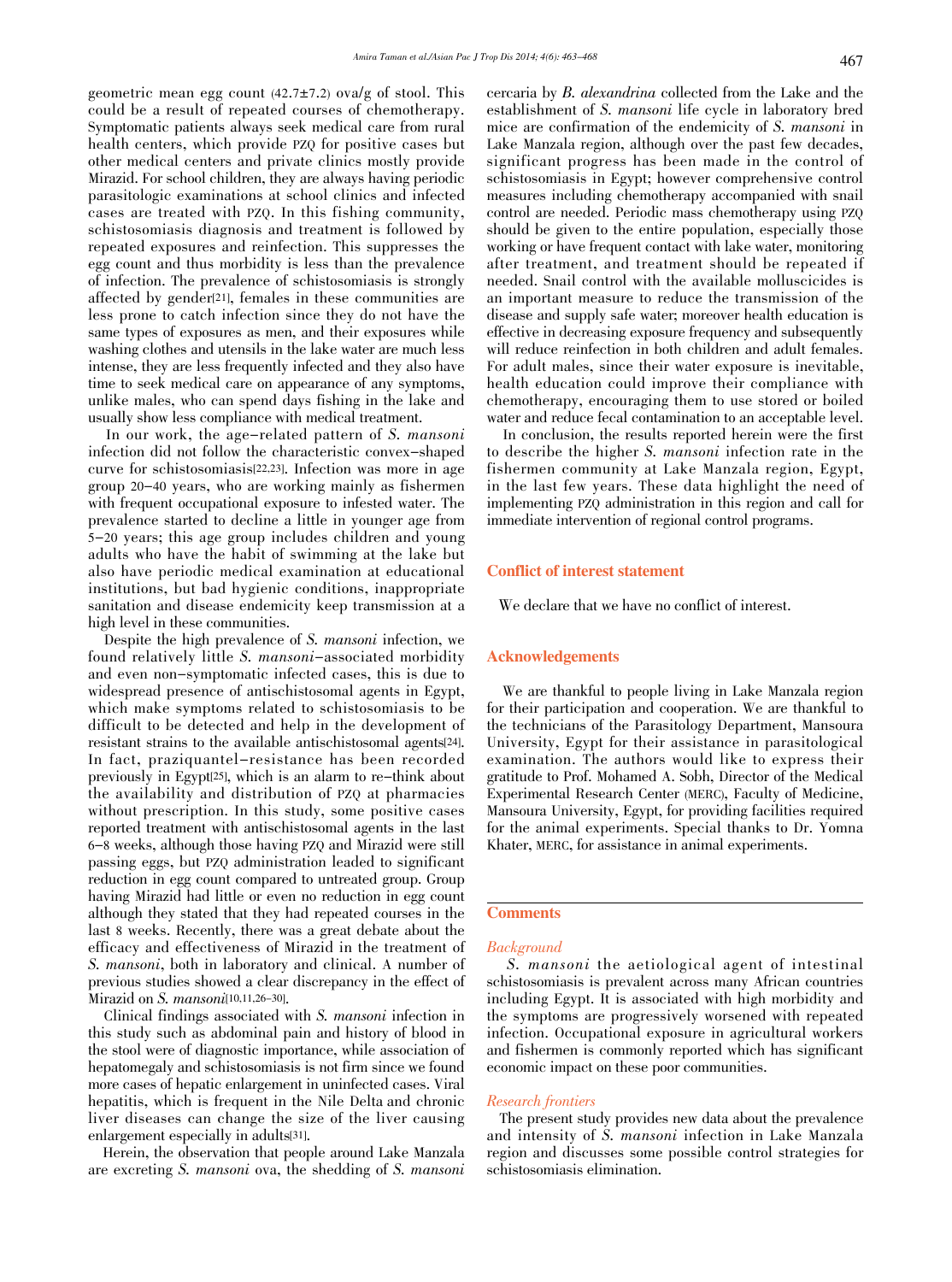geometric mean egg count  $(42.7 \pm 7.2)$  ova/g of stool. This could be a result of repeated courses of chemotherapy. Symptomatic patients always seek medical care from rural health centers, which provide PZQ for positive cases but other medical centers and private clinics mostly provide Mirazid. For school children, they are always having periodic parasitologic examinations at school clinics and infected cases are treated with PZQ. In this fishing community, schistosomiasis diagnosis and treatment is followed by repeated exposures and reinfection. This suppresses the egg count and thus morbidity is less than the prevalence of infection. The prevalence of schistosomiasis is strongly affected by gender[21], females in these communities are less prone to catch infection since they do not have the same types of exposures as men, and their exposures while washing clothes and utensils in the lake water are much less intense, they are less frequently infected and they also have time to seek medical care on appearance of any symptoms, unlike males, who can spend days fishing in the lake and usually show less compliance with medical treatment.

In our work, the age-related pattern of S. mansoni infection did not follow the characteristic convex-shaped curve for schistosomiasis[22,23]. Infection was more in age group 20-40 years, who are working mainly as fishermen with frequent occupational exposure to infested water. The prevalence started to decline a little in younger age from 5-20 years; this age group includes children and young adults who have the habit of swimming at the lake but also have periodic medical examination at educational institutions, but bad hygienic conditions, inappropriate sanitation and disease endemicity keep transmission at a high level in these communities.

Despite the high prevalence of S. mansoni infection, we found relatively little S. mansoni-associated morbidity and even non-symptomatic infected cases, this is due to widespread presence of antischistosomal agents in Egypt, which make symptoms related to schistosomiasis to be difficult to be detected and help in the development of resistant strains to the available antischistosomal agents[24]. In fact, praziquantel-resistance has been recorded previously in Egypt[25], which is an alarm to re-think about the availability and distribution of PZQ at pharmacies without prescription. In this study, some positive cases reported treatment with antischistosomal agents in the last 6-8 weeks, although those having PZQ and Mirazid were still passing eggs, but PZQ administration leaded to significant reduction in egg count compared to untreated group. Group having Mirazid had little or even no reduction in egg count although they stated that they had repeated courses in the last 8 weeks. Recently, there was a great debate about the efficacy and effectiveness of Mirazid in the treatment of S. mansoni, both in laboratory and clinical. A number of previous studies showed a clear discrepancy in the effect of Mirazid on S. mansoni<sup>[10,11,26-30]</sup>.

Clinical findings associated with S. mansoni infection in this study such as abdominal pain and history of blood in the stool were of diagnostic importance, while association of hepatomegaly and schistosomiasis is not firm since we found more cases of hepatic enlargement in uninfected cases. Viral hepatitis, which is frequent in the Nile Delta and chronic liver diseases can change the size of the liver causing enlargement especially in adults[31].

Herein, the observation that people around Lake Manzala are excreting S. mansoni ova, the shedding of S. mansoni

cercaria by B. alexandrina collected from the Lake and the establishment of S. mansoni life cycle in laboratory bred mice are confirmation of the endemicity of S. mansoni in Lake Manzala region, although over the past few decades, significant progress has been made in the control of schistosomiasis in Egypt; however comprehensive control measures including chemotherapy accompanied with snail control are needed. Periodic mass chemotherapy using PZQ should be given to the entire population, especially those working or have frequent contact with lake water, monitoring after treatment, and treatment should be repeated if needed. Snail control with the available molluscicides is an important measure to reduce the transmission of the disease and supply safe water; moreover health education is effective in decreasing exposure frequency and subsequently will reduce reinfection in both children and adult females. For adult males, since their water exposure is inevitable, health education could improve their compliance with chemotherapy, encouraging them to use stored or boiled water and reduce fecal contamination to an acceptable level.

In conclusion, the results reported herein were the first to describe the higher S. mansoni infection rate in the fishermen community at Lake Manzala region, Egypt, in the last few years. These data highlight the need of implementing PZQ administration in this region and call for immediate intervention of regional control programs.

# Conflict of interest statement

We declare that we have no conflict of interest.

### Acknowledgements

We are thankful to people living in Lake Manzala region for their participation and cooperation. We are thankful to the technicians of the Parasitology Department, Mansoura University, Egypt for their assistance in parasitological examination. The authors would like to express their gratitude to Prof. Mohamed A. Sobh, Director of the Medical Experimental Research Center (MERC), Faculty of Medicine, Mansoura University, Egypt, for providing facilities required for the animal experiments. Special thanks to Dr. Yomna Khater, MERC, for assistance in animal experiments.

# **Comments**

#### **Background**

S. mansoni the aetiological agent of intestinal schistosomiasis is prevalent across many African countries including Egypt. It is associated with high morbidity and the symptoms are progressively worsened with repeated infection. Occupational exposure in agricultural workers and fishermen is commonly reported which has significant economic impact on these poor communities.

# Research frontiers

The present study provides new data about the prevalence and intensity of S. mansoni infection in Lake Manzala region and discusses some possible control strategies for schistosomiasis elimination.